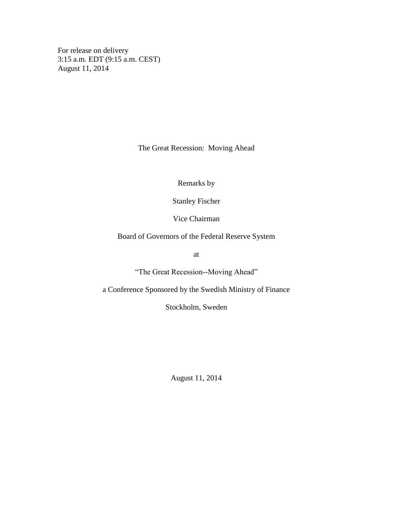For release on delivery 3:15 a.m. EDT (9:15 a.m. CEST) August 11, 2014

The Great Recession: Moving Ahead

Remarks by

Stanley Fischer

Vice Chairman

Board of Governors of the Federal Reserve System

at

"The Great Recession--Moving Ahead"

a Conference Sponsored by the Swedish Ministry of Finance

Stockholm, Sweden

August 11, 2014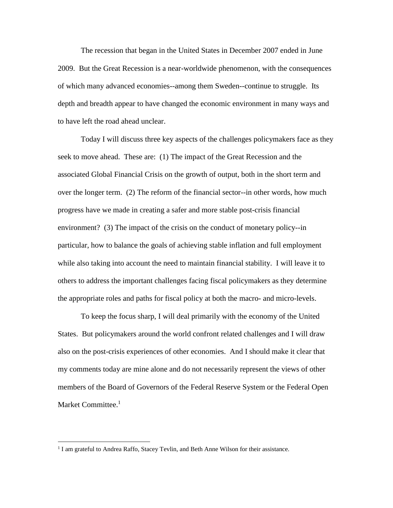The recession that began in the United States in December 2007 ended in June 2009. But the Great Recession is a near-worldwide phenomenon, with the consequences of which many advanced economies--among them Sweden--continue to struggle. Its depth and breadth appear to have changed the economic environment in many ways and to have left the road ahead unclear.

Today I will discuss three key aspects of the challenges policymakers face as they seek to move ahead. These are: (1) The impact of the Great Recession and the associated Global Financial Crisis on the growth of output, both in the short term and over the longer term. (2) The reform of the financial sector--in other words, how much progress have we made in creating a safer and more stable post-crisis financial environment? (3) The impact of the crisis on the conduct of monetary policy--in particular, how to balance the goals of achieving stable inflation and full employment while also taking into account the need to maintain financial stability. I will leave it to others to address the important challenges facing fiscal policymakers as they determine the appropriate roles and paths for fiscal policy at both the macro- and micro-levels.

To keep the focus sharp, I will deal primarily with the economy of the United States. But policymakers around the world confront related challenges and I will draw also on the post-crisis experiences of other economies. And I should make it clear that my comments today are mine alone and do not necessarily represent the views of other members of the Board of Governors of the Federal Reserve System or the Federal Open Market Committee. 1

<sup>&</sup>lt;sup>1</sup> I am grateful to Andrea Raffo, Stacey Tevlin, and Beth Anne Wilson for their assistance.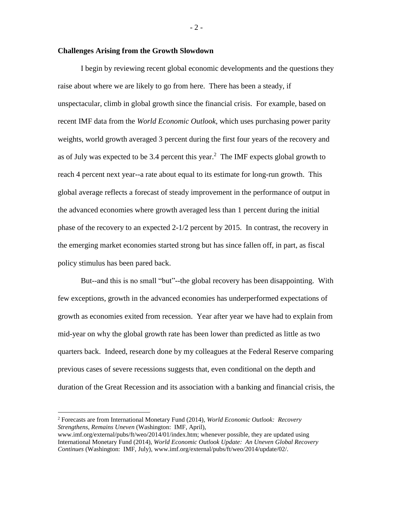## **Challenges Arising from the Growth Slowdown**

I begin by reviewing recent global economic developments and the questions they raise about where we are likely to go from here. There has been a steady, if unspectacular, climb in global growth since the financial crisis. For example, based on recent IMF data from the *World Economic Outlook,* which uses purchasing power parity weights, world growth averaged 3 percent during the first four years of the recovery and as of July was expected to be 3.4 percent this year.<sup>2</sup> The IMF expects global growth to reach 4 percent next year--a rate about equal to its estimate for long-run growth. This global average reflects a forecast of steady improvement in the performance of output in the advanced economies where growth averaged less than 1 percent during the initial phase of the recovery to an expected 2-1/2 percent by 2015. In contrast, the recovery in the emerging market economies started strong but has since fallen off, in part, as fiscal policy stimulus has been pared back.

But--and this is no small "but"--the global recovery has been disappointing. With few exceptions, growth in the advanced economies has underperformed expectations of growth as economies exited from recession. Year after year we have had to explain from mid-year on why the global growth rate has been lower than predicted as little as two quarters back. Indeed, research done by my colleagues at the Federal Reserve comparing previous cases of severe recessions suggests that, even conditional on the depth and duration of the Great Recession and its association with a banking and financial crisis, the

 $\overline{a}$ 

 $-2-$ 

<sup>2</sup> Forecasts are from International Monetary Fund (2014), *World Economic Outlook: Recovery Strengthens, Remains Uneven* (Washington: IMF, April),

www.imf.org/external/pubs/ft/weo/2014/01/index.htm; whenever possible, they are updated using International Monetary Fund (2014), *World Economic Outlook Update: An Uneven Global Recovery Continues* (Washington: IMF, July), www.imf.org/external/pubs/ft/weo/2014/update/02/.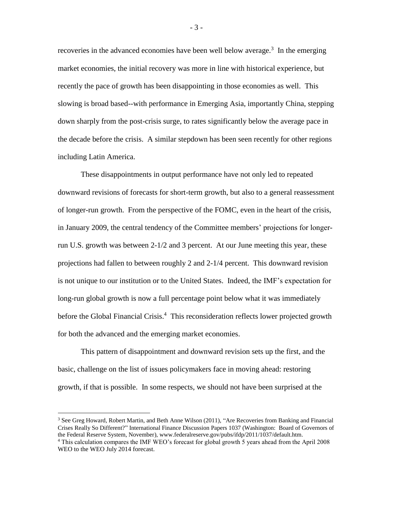recoveries in the advanced economies have been well below average.<sup>3</sup> In the emerging market economies, the initial recovery was more in line with historical experience, but recently the pace of growth has been disappointing in those economies as well. This slowing is broad based--with performance in Emerging Asia, importantly China, stepping down sharply from the post-crisis surge, to rates significantly below the average pace in the decade before the crisis. A similar stepdown has been seen recently for other regions including Latin America.

These disappointments in output performance have not only led to repeated downward revisions of forecasts for short-term growth, but also to a general reassessment of longer-run growth. From the perspective of the FOMC, even in the heart of the crisis, in January 2009, the central tendency of the Committee members' projections for longerrun U.S. growth was between 2-1/2 and 3 percent. At our June meeting this year, these projections had fallen to between roughly 2 and 2-1/4 percent. This downward revision is not unique to our institution or to the United States. Indeed, the IMF's expectation for long-run global growth is now a full percentage point below what it was immediately before the Global Financial Crisis.<sup>4</sup> This reconsideration reflects lower projected growth for both the advanced and the emerging market economies.

This pattern of disappointment and downward revision sets up the first, and the basic, challenge on the list of issues policymakers face in moving ahead: restoring growth, if that is possible. In some respects, we should not have been surprised at the

 $\overline{a}$ 

- 3 -

 $3$  See Greg Howard, Robert Martin, and Beth Anne Wilson (2011), "Are Recoveries from Banking and Financial Crises Really So Different?" International Finance Discussion Papers 1037 (Washington: Board of Governors of the Federal Reserve System, November), www.federalreserve.gov/pubs/ifdp/2011/1037/default.htm.

<sup>4</sup> This calculation compares the IMF WEO's forecast for global growth 5 years ahead from the April 2008 WEO to the WEO July 2014 forecast.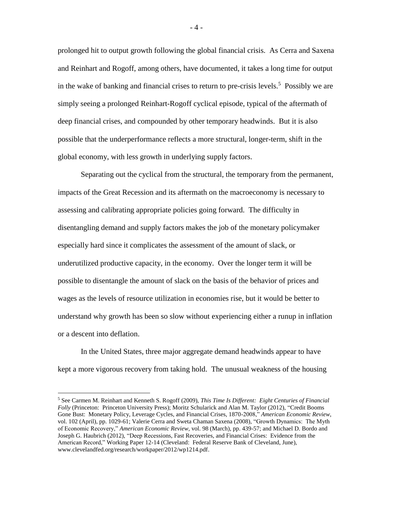prolonged hit to output growth following the global financial crisis. As Cerra and Saxena and Reinhart and Rogoff, among others, have documented, it takes a long time for output in the wake of banking and financial crises to return to pre-crisis levels.<sup>5</sup> Possibly we are simply seeing a prolonged Reinhart-Rogoff cyclical episode, typical of the aftermath of deep financial crises, and compounded by other temporary headwinds. But it is also possible that the underperformance reflects a more structural, longer-term, shift in the global economy, with less growth in underlying supply factors.

Separating out the cyclical from the structural, the temporary from the permanent, impacts of the Great Recession and its aftermath on the macroeconomy is necessary to assessing and calibrating appropriate policies going forward. The difficulty in disentangling demand and supply factors makes the job of the monetary policymaker especially hard since it complicates the assessment of the amount of slack, or underutilized productive capacity, in the economy. Over the longer term it will be possible to disentangle the amount of slack on the basis of the behavior of prices and wages as the levels of resource utilization in economies rise, but it would be better to understand why growth has been so slow without experiencing either a runup in inflation or a descent into deflation.

In the United States, three major aggregate demand headwinds appear to have kept a more vigorous recovery from taking hold. The unusual weakness of the housing

<sup>5</sup> See Carmen M. Reinhart and Kenneth S. Rogoff (2009), *This Time Is Different: Eight Centuries of Financial Folly* (Princeton: Princeton University Press); Moritz Schularick and Alan M. Taylor (2012), "Credit Booms Gone Bust: Monetary Policy, Leverage Cycles, and Financial Crises, 1870-2008," *American Economic Review*, vol. 102 (April), pp. 1029-61; Valerie Cerra and Sweta Chaman Saxena (2008), "Growth Dynamics: The Myth of Economic Recovery," *American Economic Review*, vol. 98 (March), pp. 439-57; and Michael D. Bordo and Joseph G. Haubrich (2012), "Deep Recessions, Fast Recoveries, and Financial Crises: Evidence from the American Record," Working Paper 12-14 (Cleveland: Federal Reserve Bank of Cleveland, June), www.clevelandfed.org/research/workpaper/2012/wp1214.pdf.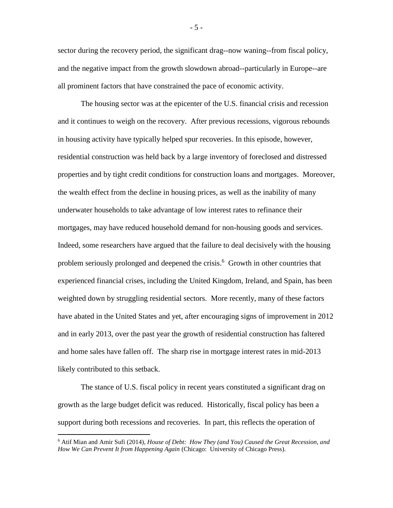sector during the recovery period, the significant drag--now waning--from fiscal policy, and the negative impact from the growth slowdown abroad--particularly in Europe--are all prominent factors that have constrained the pace of economic activity.

The housing sector was at the epicenter of the U.S. financial crisis and recession and it continues to weigh on the recovery. After previous recessions, vigorous rebounds in housing activity have typically helped spur recoveries. In this episode, however, residential construction was held back by a large inventory of foreclosed and distressed properties and by tight credit conditions for construction loans and mortgages. Moreover, the wealth effect from the decline in housing prices, as well as the inability of many underwater households to take advantage of low interest rates to refinance their mortgages, may have reduced household demand for non-housing goods and services. Indeed, some researchers have argued that the failure to deal decisively with the housing problem seriously prolonged and deepened the crisis.<sup>6</sup> Growth in other countries that experienced financial crises, including the United Kingdom, Ireland, and Spain, has been weighted down by struggling residential sectors. More recently, many of these factors have abated in the United States and yet, after encouraging signs of improvement in 2012 and in early 2013, over the past year the growth of residential construction has faltered and home sales have fallen off. The sharp rise in mortgage interest rates in mid-2013 likely contributed to this setback.

The stance of U.S. fiscal policy in recent years constituted a significant drag on growth as the large budget deficit was reduced. Historically, fiscal policy has been a support during both recessions and recoveries. In part, this reflects the operation of

 $\overline{a}$ 

- 5 -

<sup>6</sup> Atif Mian and Amir Sufi (2014), *House of Debt: How They (and You) Caused the Great Recession, and How We Can Prevent It from Happening Again* (Chicago: University of Chicago Press).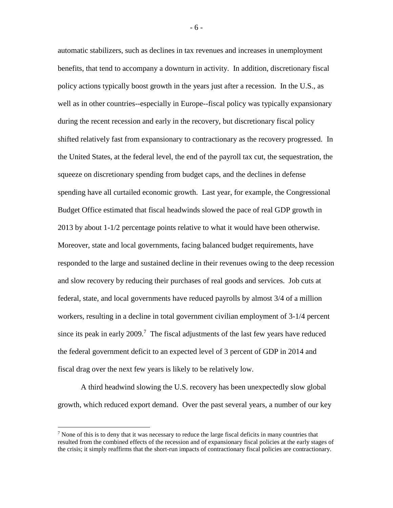automatic stabilizers, such as declines in tax revenues and increases in unemployment benefits, that tend to accompany a downturn in activity. In addition, discretionary fiscal policy actions typically boost growth in the years just after a recession. In the U.S., as well as in other countries--especially in Europe--fiscal policy was typically expansionary during the recent recession and early in the recovery, but discretionary fiscal policy shifted relatively fast from expansionary to contractionary as the recovery progressed. In the United States, at the federal level, the end of the payroll tax cut, the sequestration, the squeeze on discretionary spending from budget caps, and the declines in defense spending have all curtailed economic growth. Last year, for example, the Congressional Budget Office estimated that fiscal headwinds slowed the pace of real GDP growth in 2013 by about 1-1/2 percentage points relative to what it would have been otherwise. Moreover, state and local governments, facing balanced budget requirements, have responded to the large and sustained decline in their revenues owing to the deep recession and slow recovery by reducing their purchases of real goods and services. Job cuts at federal, state, and local governments have reduced payrolls by almost 3/4 of a million workers, resulting in a decline in total government civilian employment of 3-1/4 percent since its peak in early 2009.<sup>7</sup> The fiscal adjustments of the last few years have reduced the federal government deficit to an expected level of 3 percent of GDP in 2014 and fiscal drag over the next few years is likely to be relatively low.

A third headwind slowing the U.S. recovery has been unexpectedly slow global growth, which reduced export demand. Over the past several years, a number of our key

 $\overline{a}$ 

- 6 -

 $<sup>7</sup>$  None of this is to deny that it was necessary to reduce the large fiscal deficits in many countries that</sup> resulted from the combined effects of the recession and of expansionary fiscal policies at the early stages of the crisis; it simply reaffirms that the short-run impacts of contractionary fiscal policies are contractionary.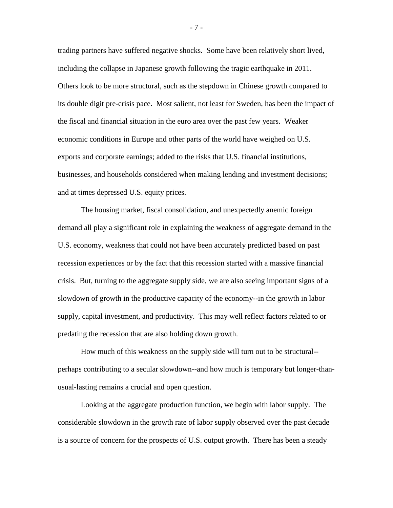trading partners have suffered negative shocks. Some have been relatively short lived, including the collapse in Japanese growth following the tragic earthquake in 2011. Others look to be more structural, such as the stepdown in Chinese growth compared to its double digit pre-crisis pace. Most salient, not least for Sweden, has been the impact of the fiscal and financial situation in the euro area over the past few years. Weaker economic conditions in Europe and other parts of the world have weighed on U.S. exports and corporate earnings; added to the risks that U.S. financial institutions, businesses, and households considered when making lending and investment decisions; and at times depressed U.S. equity prices.

The housing market, fiscal consolidation, and unexpectedly anemic foreign demand all play a significant role in explaining the weakness of aggregate demand in the U.S. economy, weakness that could not have been accurately predicted based on past recession experiences or by the fact that this recession started with a massive financial crisis. But, turning to the aggregate supply side, we are also seeing important signs of a slowdown of growth in the productive capacity of the economy--in the growth in labor supply, capital investment, and productivity. This may well reflect factors related to or predating the recession that are also holding down growth.

How much of this weakness on the supply side will turn out to be structural- perhaps contributing to a secular slowdown--and how much is temporary but longer-thanusual-lasting remains a crucial and open question.

Looking at the aggregate production function, we begin with labor supply. The considerable slowdown in the growth rate of labor supply observed over the past decade is a source of concern for the prospects of U.S. output growth. There has been a steady

- 7 -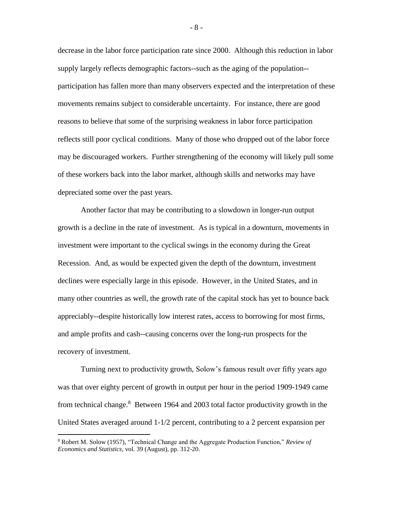decrease in the labor force participation rate since 2000. Although this reduction in labor supply largely reflects demographic factors--such as the aging of the population- participation has fallen more than many observers expected and the interpretation of these movements remains subject to considerable uncertainty. For instance, there are good reasons to believe that some of the surprising weakness in labor force participation reflects still poor cyclical conditions. Many of those who dropped out of the labor force may be discouraged workers. Further strengthening of the economy will likely pull some of these workers back into the labor market, although skills and networks may have depreciated some over the past years.

Another factor that may be contributing to a slowdown in longer-run output growth is a decline in the rate of investment. As is typical in a downturn, movements in investment were important to the cyclical swings in the economy during the Great Recession. And, as would be expected given the depth of the downturn, investment declines were especially large in this episode. However, in the United States, and in many other countries as well, the growth rate of the capital stock has yet to bounce back appreciably--despite historically low interest rates, access to borrowing for most firms, and ample profits and cash--causing concerns over the long-run prospects for the recovery of investment.

Turning next to productivity growth, Solow's famous result over fifty years ago was that over eighty percent of growth in output per hour in the period 1909-1949 came from technical change. $8$  Between 1964 and 2003 total factor productivity growth in the United States averaged around 1-1/2 percent, contributing to a 2 percent expansion per

 $\overline{a}$ 

- 8 -

<sup>8</sup> Robert M. Solow (1957), "Technical Change and the Aggregate Production Function," *Review of Economics and Statistics*, vol. 39 (August), pp. 312-20.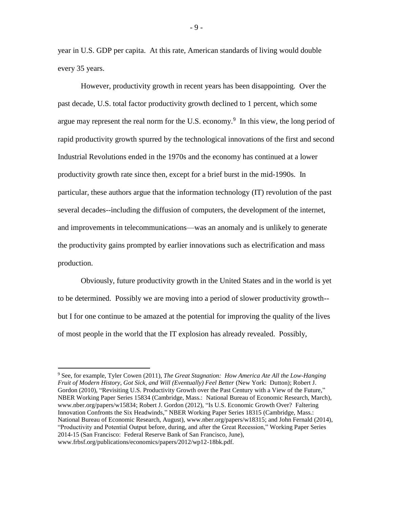year in U.S. GDP per capita. At this rate, American standards of living would double every 35 years.

However, productivity growth in recent years has been disappointing. Over the past decade, U.S. total factor productivity growth declined to 1 percent, which some argue may represent the real norm for the U.S. economy. $9$  In this view, the long period of rapid productivity growth spurred by the technological innovations of the first and second Industrial Revolutions ended in the 1970s and the economy has continued at a lower productivity growth rate since then, except for a brief burst in the mid-1990s. In particular, these authors argue that the information technology (IT) revolution of the past several decades--including the diffusion of computers, the development of the internet, and improvements in telecommunications—was an anomaly and is unlikely to generate the productivity gains prompted by earlier innovations such as electrification and mass production.

Obviously, future productivity growth in the United States and in the world is yet to be determined. Possibly we are moving into a period of slower productivity growth- but I for one continue to be amazed at the potential for improving the quality of the lives of most people in the world that the IT explosion has already revealed. Possibly,

 $\overline{a}$ 

- 9 -

<sup>9</sup> See, for example, Tyler Cowen (2011), *The Great Stagnation: How America Ate All the Low-Hanging Fruit of Modern History, Got Sick, and Will (Eventually) Feel Better* (New York: Dutton); Robert J. Gordon (2010), "Revisiting U.S. Productivity Growth over the Past Century with a View of the Future," NBER Working Paper Series 15834 (Cambridge, Mass.: National Bureau of Economic Research, March), www.nber.org/papers/w15834; Robert J. Gordon (2012), "Is U.S. Economic Growth Over? Faltering Innovation Confronts the Six Headwinds," NBER Working Paper Series 18315 (Cambridge, Mass.: National Bureau of Economic Research, August), www.nber.org/papers/w18315; and John Fernald (2014), "Productivity and Potential Output before, during, and after the Great Recession," Working Paper Series 2014-15 (San Francisco: Federal Reserve Bank of San Francisco, June), www.frbsf.org/publications/economics/papers/2012/wp12-18bk.pdf.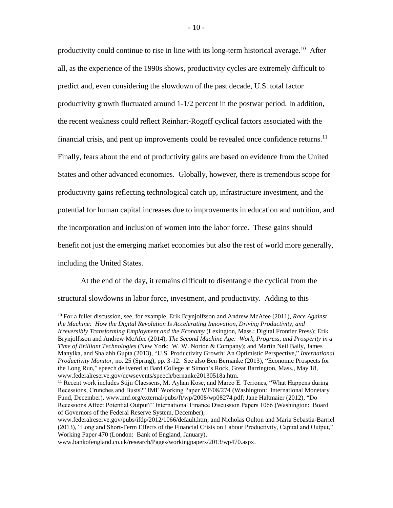productivity could continue to rise in line with its long-term historical average.<sup>10</sup> After all, as the experience of the 1990s shows, productivity cycles are extremely difficult to predict and, even considering the slowdown of the past decade, U.S. total factor productivity growth fluctuated around 1-1/2 percent in the postwar period. In addition, the recent weakness could reflect Reinhart-Rogoff cyclical factors associated with the financial crisis, and pent up improvements could be revealed once confidence returns.<sup>11</sup> Finally, fears about the end of productivity gains are based on evidence from the United States and other advanced economies. Globally, however, there is tremendous scope for productivity gains reflecting technological catch up, infrastructure investment, and the potential for human capital increases due to improvements in education and nutrition, and the incorporation and inclusion of women into the labor force. These gains should benefit not just the emerging market economies but also the rest of world more generally, including the United States.

At the end of the day, it remains difficult to disentangle the cyclical from the structural slowdowns in labor force, investment, and productivity. Adding to this

<sup>10</sup> For a fuller discussion, see, for example, Erik Brynjolfsson and Andrew McAfee (2011), *Race Against the Machine: How the Digital Revolution Is Accelerating Innovation, Driving Productivity, and Irreversibly Transforming Employment and the Economy* (Lexington, Mass.: Digital Frontier Press); Erik Brynjolfsson and Andrew McAfee (2014), *The Second Machine Age: Work, Progress, and Prosperity in a Time of Brilliant Technologies* (New York: W. W. Norton & Company); and Martin Neil Baily, James Manyika, and Shalabh Gupta (2013), "U.S. Productivity Growth: An Optimistic Perspective," *International Productivity Monitor,* no. 25 (Spring), pp. 3-12. See also Ben Bernanke (2013), "Economic Prospects for the Long Run," speech delivered at Bard College at Simon's Rock, Great Barrington, Mass., May 18, www.federalreserve.gov/newsevents/speech/bernanke20130518a.htm.

<sup>&</sup>lt;sup>11</sup> Recent work includes Stijn Claessens, M. Ayhan Kose, and Marco E. Terrones, "What Happens during Recessions, Crunches and Busts?" IMF Working Paper WP/08/274 (Washington: International Monetary Fund, December), www.imf.org/external/pubs/ft/wp/2008/wp08274.pdf; Jane Haltmaier (2012), "Do Recessions Affect Potential Output?" International Finance Discussion Papers 1066 (Washington: Board of Governors of the Federal Reserve System, December),

www.federalreserve.gov/pubs/ifdp/2012/1066/default.htm; and Nicholas Oulton and Maria Sebastia-Barriel (2013), "Long and Short-Term Effects of the Financial Crisis on Labour Productivity, Capital and Output," Working Paper 470 (London: Bank of England, January),

www.bankofengland.co.uk/research/Pages/workingpapers/2013/wp470.aspx.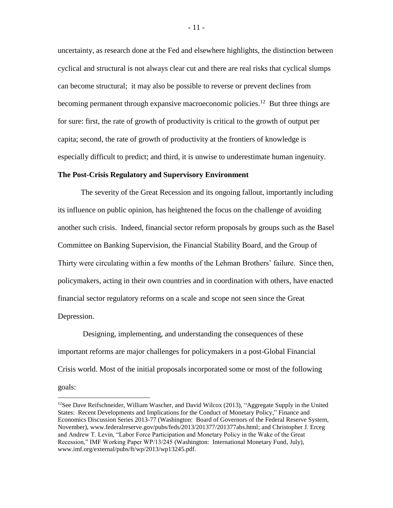uncertainty, as research done at the Fed and elsewhere highlights, the distinction between cyclical and structural is not always clear cut and there are real risks that cyclical slumps can become structural; it may also be possible to reverse or prevent declines from becoming permanent through expansive macroeconomic policies.<sup>12</sup> But three things are for sure: first, the rate of growth of productivity is critical to the growth of output per capita; second, the rate of growth of productivity at the frontiers of knowledge is especially difficult to predict; and third, it is unwise to underestimate human ingenuity.

## **The Post-Crisis Regulatory and Supervisory Environment**

The severity of the Great Recession and its ongoing fallout, importantly including its influence on public opinion, has heightened the focus on the challenge of avoiding another such crisis. Indeed, financial sector reform proposals by groups such as the Basel Committee on Banking Supervision, the Financial Stability Board, and the Group of Thirty were circulating within a few months of the Lehman Brothers' failure. Since then, policymakers, acting in their own countries and in coordination with others, have enacted financial sector regulatory reforms on a scale and scope not seen since the Great Depression.

Designing, implementing, and understanding the consequences of these important reforms are major challenges for policymakers in a post-Global Financial Crisis world. Most of the initial proposals incorporated some or most of the following goals:

<sup>&</sup>lt;sup>12</sup>See Dave Reifschneider, William Wascher, and David Wilcox (2013), "Aggregate Supply in the United States: Recent Developments and Implications for the Conduct of Monetary Policy," Finance and Economics Discussion Series 2013-77 (Washington: Board of Governors of the Federal Reserve System, November), www.federalreserve.gov/pubs/feds/2013/201377/201377abs.html; and Christopher J. Erceg and Andrew T. Levin, "Labor Force Participation and Monetary Policy in the Wake of the Great Recession," IMF Working Paper WP/13/245 (Washington: International Monetary Fund, July), www.imf.org/external/pubs/ft/wp/2013/wp13245.pdf.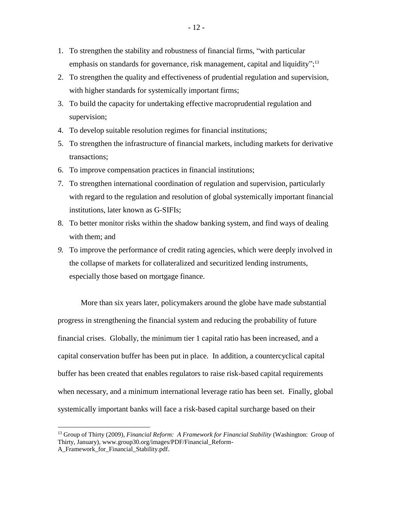- 1. To strengthen the stability and robustness of financial firms, "with particular emphasis on standards for governance, risk management, capital and liquidity";<sup>13</sup>
- 2. To strengthen the quality and effectiveness of prudential regulation and supervision, with higher standards for systemically important firms;
- 3. To build the capacity for undertaking effective macroprudential regulation and supervision;
- 4. To develop suitable resolution regimes for financial institutions;
- 5. To strengthen the infrastructure of financial markets, including markets for derivative transactions;
- 6. To improve compensation practices in financial institutions;
- 7. To strengthen international coordination of regulation and supervision, particularly with regard to the regulation and resolution of global systemically important financial institutions, later known as G-SIFIs;
- 8. To better monitor risks within the shadow banking system, and find ways of dealing with them; and
- *9.* To improve the performance of credit rating agencies, which were deeply involved in the collapse of markets for collateralized and securitized lending instruments, especially those based on mortgage finance.

More than six years later, policymakers around the globe have made substantial progress in strengthening the financial system and reducing the probability of future financial crises. Globally, the minimum tier 1 capital ratio has been increased, and a capital conservation buffer has been put in place. In addition, a countercyclical capital buffer has been created that enables regulators to raise risk-based capital requirements when necessary, and a minimum international leverage ratio has been set. Finally, global systemically important banks will face a risk-based capital surcharge based on their

<sup>13</sup> Group of Thirty (2009), *Financial Reform: A Framework for Financial Stability* (Washington: Group of Thirty, January), www.group30.org/images/PDF/Financial\_Reform-A\_Framework\_for\_Financial\_Stability.pdf.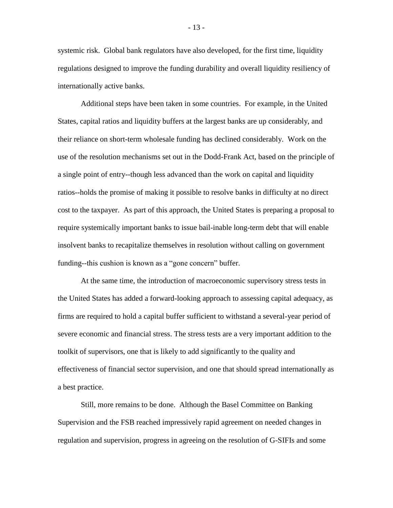systemic risk. Global bank regulators have also developed, for the first time, liquidity regulations designed to improve the funding durability and overall liquidity resiliency of internationally active banks.

Additional steps have been taken in some countries. For example, in the United States, capital ratios and liquidity buffers at the largest banks are up considerably, and their reliance on short-term wholesale funding has declined considerably. Work on the use of the resolution mechanisms set out in the Dodd-Frank Act, based on the principle of a single point of entry--though less advanced than the work on capital and liquidity ratios--holds the promise of making it possible to resolve banks in difficulty at no direct cost to the taxpayer. As part of this approach, the United States is preparing a proposal to require systemically important banks to issue bail-inable long-term debt that will enable insolvent banks to recapitalize themselves in resolution without calling on government funding--this cushion is known as a "gone concern" buffer.

At the same time, the introduction of macroeconomic supervisory stress tests in the United States has added a forward-looking approach to assessing capital adequacy, as firms are required to hold a capital buffer sufficient to withstand a several-year period of severe economic and financial stress. The stress tests are a very important addition to the toolkit of supervisors, one that is likely to add significantly to the quality and effectiveness of financial sector supervision, and one that should spread internationally as a best practice.

Still, more remains to be done. Although the Basel Committee on Banking Supervision and the FSB reached impressively rapid agreement on needed changes in regulation and supervision, progress in agreeing on the resolution of G-SIFIs and some

- 13 -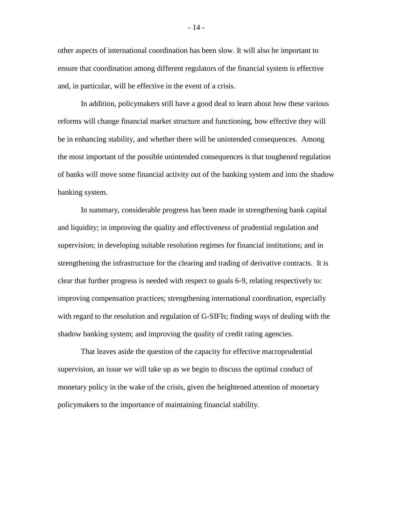other aspects of international coordination has been slow. It will also be important to ensure that coordination among different regulators of the financial system is effective and, in particular, will be effective in the event of a crisis.

In addition, policymakers still have a good deal to learn about how these various reforms will change financial market structure and functioning, how effective they will be in enhancing stability, and whether there will be unintended consequences. Among the most important of the possible unintended consequences is that toughened regulation of banks will move some financial activity out of the banking system and into the shadow banking system.

In summary, considerable progress has been made in strengthening bank capital and liquidity; in improving the quality and effectiveness of prudential regulation and supervision; in developing suitable resolution regimes for financial institutions; and in strengthening the infrastructure for the clearing and trading of derivative contracts. It is clear that further progress is needed with respect to goals 6-9, relating respectively to: improving compensation practices; strengthening international coordination, especially with regard to the resolution and regulation of G-SIFIs; finding ways of dealing with the shadow banking system; and improving the quality of credit rating agencies.

That leaves aside the question of the capacity for effective macroprudential supervision, an issue we will take up as we begin to discuss the optimal conduct of monetary policy in the wake of the crisis, given the heightened attention of monetary policymakers to the importance of maintaining financial stability.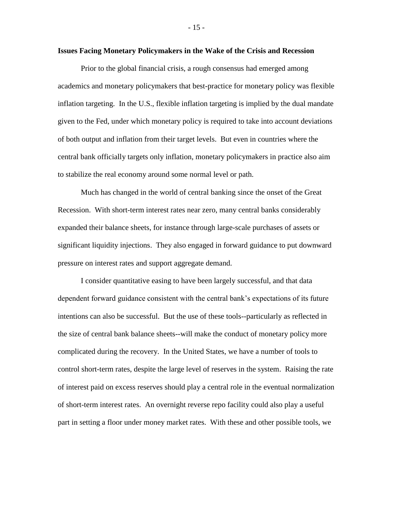## **Issues Facing Monetary Policymakers in the Wake of the Crisis and Recession**

Prior to the global financial crisis, a rough consensus had emerged among academics and monetary policymakers that best-practice for monetary policy was flexible inflation targeting. In the U.S., flexible inflation targeting is implied by the dual mandate given to the Fed, under which monetary policy is required to take into account deviations of both output and inflation from their target levels. But even in countries where the central bank officially targets only inflation, monetary policymakers in practice also aim to stabilize the real economy around some normal level or path.

Much has changed in the world of central banking since the onset of the Great Recession. With short-term interest rates near zero, many central banks considerably expanded their balance sheets, for instance through large-scale purchases of assets or significant liquidity injections. They also engaged in forward guidance to put downward pressure on interest rates and support aggregate demand.

I consider quantitative easing to have been largely successful, and that data dependent forward guidance consistent with the central bank's expectations of its future intentions can also be successful. But the use of these tools--particularly as reflected in the size of central bank balance sheets--will make the conduct of monetary policy more complicated during the recovery. In the United States, we have a number of tools to control short-term rates, despite the large level of reserves in the system. Raising the rate of interest paid on excess reserves should play a central role in the eventual normalization of short-term interest rates. An overnight reverse repo facility could also play a useful part in setting a floor under money market rates. With these and other possible tools, we

- 15 -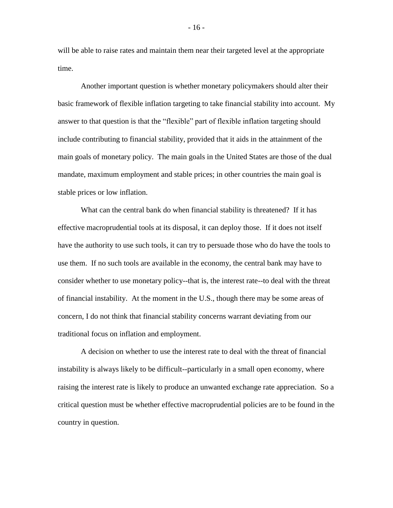will be able to raise rates and maintain them near their targeted level at the appropriate time.

Another important question is whether monetary policymakers should alter their basic framework of flexible inflation targeting to take financial stability into account. My answer to that question is that the "flexible" part of flexible inflation targeting should include contributing to financial stability, provided that it aids in the attainment of the main goals of monetary policy. The main goals in the United States are those of the dual mandate, maximum employment and stable prices; in other countries the main goal is stable prices or low inflation.

What can the central bank do when financial stability is threatened? If it has effective macroprudential tools at its disposal, it can deploy those. If it does not itself have the authority to use such tools, it can try to persuade those who do have the tools to use them. If no such tools are available in the economy, the central bank may have to consider whether to use monetary policy--that is, the interest rate--to deal with the threat of financial instability. At the moment in the U.S., though there may be some areas of concern, I do not think that financial stability concerns warrant deviating from our traditional focus on inflation and employment.

A decision on whether to use the interest rate to deal with the threat of financial instability is always likely to be difficult--particularly in a small open economy, where raising the interest rate is likely to produce an unwanted exchange rate appreciation. So a critical question must be whether effective macroprudential policies are to be found in the country in question.

- 16 -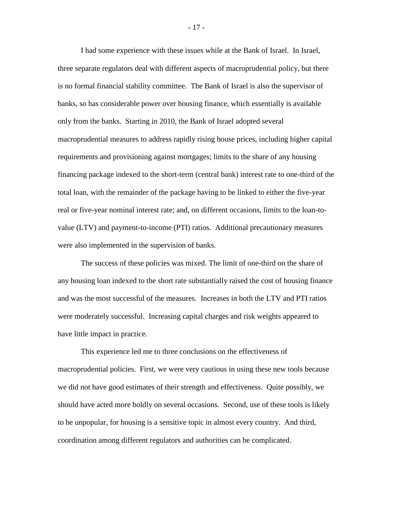I had some experience with these issues while at the Bank of Israel. In Israel, three separate regulators deal with different aspects of macroprudential policy, but there is no formal financial stability committee. The Bank of Israel is also the supervisor of banks, so has considerable power over housing finance, which essentially is available only from the banks. Starting in 2010, the Bank of Israel adopted several macroprudential measures to address rapidly rising house prices, including higher capital requirements and provisioning against mortgages; limits to the share of any housing financing package indexed to the short-term (central bank) interest rate to one-third of the total loan, with the remainder of the package having to be linked to either the five-year real or five-year nominal interest rate; and, on different occasions, limits to the loan-tovalue (LTV) and payment-to-income (PTI) ratios. Additional precautionary measures were also implemented in the supervision of banks.

The success of these policies was mixed. The limit of one-third on the share of any housing loan indexed to the short rate substantially raised the cost of housing finance and was the most successful of the measures. Increases in both the LTV and PTI ratios were moderately successful. Increasing capital charges and risk weights appeared to have little impact in practice.

This experience led me to three conclusions on the effectiveness of macroprudential policies. First, we were very cautious in using these new tools because we did not have good estimates of their strength and effectiveness. Quite possibly, we should have acted more boldly on several occasions. Second, use of these tools is likely to be unpopular, for housing is a sensitive topic in almost every country. And third, coordination among different regulators and authorities can be complicated.

- 17 -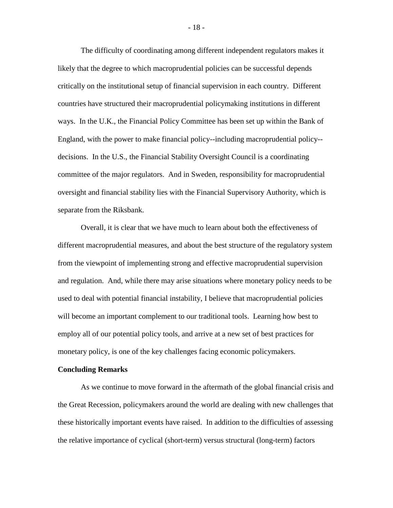The difficulty of coordinating among different independent regulators makes it likely that the degree to which macroprudential policies can be successful depends critically on the institutional setup of financial supervision in each country. Different countries have structured their macroprudential policymaking institutions in different ways. In the U.K., the Financial Policy Committee has been set up within the Bank of England, with the power to make financial policy--including macroprudential policy- decisions. In the U.S., the Financial Stability Oversight Council is a coordinating committee of the major regulators. And in Sweden, responsibility for macroprudential oversight and financial stability lies with the Financial Supervisory Authority, which is separate from the Riksbank.

Overall, it is clear that we have much to learn about both the effectiveness of different macroprudential measures, and about the best structure of the regulatory system from the viewpoint of implementing strong and effective macroprudential supervision and regulation. And, while there may arise situations where monetary policy needs to be used to deal with potential financial instability, I believe that macroprudential policies will become an important complement to our traditional tools. Learning how best to employ all of our potential policy tools, and arrive at a new set of best practices for monetary policy, is one of the key challenges facing economic policymakers.

## **Concluding Remarks**

As we continue to move forward in the aftermath of the global financial crisis and the Great Recession, policymakers around the world are dealing with new challenges that these historically important events have raised. In addition to the difficulties of assessing the relative importance of cyclical (short-term) versus structural (long-term) factors

- 18 -